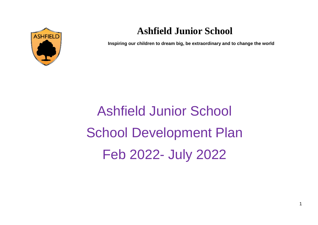

# **Ashfield Junior School**

**Inspiring our children to dream big, be extraordinary and to change the world** 

Ashfield Junior School School Development Plan Feb 2022- July 2022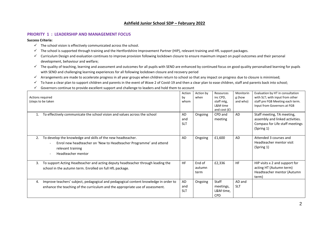## **Ashfield Junior School SDP – February 2022**

### **PRIORITY 1 : LEADERSHIP AND MANAGEMENT FOCUS**

#### **Success Criteria:**

- $\checkmark$  The school vision is effectively communicated across the school.
- $\checkmark$  The school is supported through training and the Hertfordshire Improvement Partner (HIP), relevant training and HfL support packages.
- $\checkmark$  Curriculum Design and evaluation continues to improve provision following lockdown closure to ensure maximum impact on pupil outcomes and their personal development, behaviour and welfare;
- $\checkmark$  The quality of teaching, learning and assessment and outcomes for all pupils with SEND are enhanced by continued focus on good quality personalised learning for pupils with SEND and challenging learning experiences for all following lockdown closure and recovery period
- $\checkmark$  Arrangements are made to accelerate progress in all year groups when children return to school so that any impact on progress due to closure is minimised;
- $\checkmark$  To have a clear plan to support children and parents in the event of Wave 2 of Covid-19 and then a clear plan to ease children, staff and parents back into school;
- $\checkmark$  Governors continue to provide excellent support and challenge to leaders and hold them to account

|    | Actions required<br>(steps to be taken                                                                                                                                       | Action<br>by<br>whom    | Action by<br>when        | Resources<br>inc CPD,<br>staff mtg,<br>L&M time<br>and cost $(E)$ | Monitorin<br>g (how<br>and who) | Evaluation by HT in consultation<br>with SLT; with input from other<br>staff pre FGB Meeting each term.<br>Input from Governors at FGB |
|----|------------------------------------------------------------------------------------------------------------------------------------------------------------------------------|-------------------------|--------------------------|-------------------------------------------------------------------|---------------------------------|----------------------------------------------------------------------------------------------------------------------------------------|
|    | To effectively communicate the school vision and values across the school                                                                                                    | AD<br>and<br><b>SLT</b> | Ongoing                  | CPD and<br>meeting                                                | AD                              | Staff meeting, TA meeting,<br>assembly and linked activities.<br>Compass for Life staff meetings<br>(Spring 1)                         |
|    | To develop the knowledge and skills of the new headteacher.<br>Enrol new headteacher on 'New to Headteacher Programme' and attend<br>relevant training<br>Headteacher mentor | AD                      | Ongoing                  | £1,600                                                            | AD                              | Attended 3 courses and<br>Headteacher mentor visit<br>(Spring 1)                                                                       |
| 3. | To support Acting Headteacher and acting deputy headteacher through leading the<br>school in the autumn term. Enrolled on full HfL package.                                  | <b>HF</b>               | End of<br>autumn<br>term | £2,336                                                            | <b>HF</b>                       | HIP visits x 2 and support for<br>acting HT (Autumn term)<br>Headteacher mentor (Autumn<br>term)                                       |
| 4. | Improve teachers' subject, pedagogical and pedagogical content knowledge in order to<br>enhance the teaching of the curriculum and the appropriate use of assessment.        | AD<br>and<br><b>SLT</b> | Ongoing                  | Staff<br>meetings,<br>L&M time,<br><b>CPD</b>                     | AD and<br><b>SLT</b>            |                                                                                                                                        |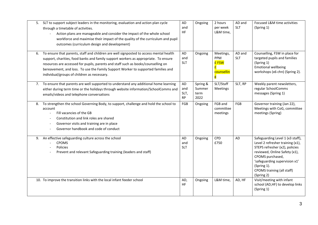|    | 5. SLT to support subject leaders in the monitoring, evaluation and action plan cycle<br>through a timetable of activities.<br>Action plans are manageable and consider the impact of the whole school<br>workforce and maximise their impact of the quality of the curriculum and pupil<br>outcomes (curriculum design and development)                                                               | AD<br>and<br>HF                | Ongoing                            | 2 hours<br>per week<br>L&M time,                   | AD and<br><b>SLT</b> | Focused L&M time activities<br>(Spring 1)                                                                                                                                                                                                               |
|----|--------------------------------------------------------------------------------------------------------------------------------------------------------------------------------------------------------------------------------------------------------------------------------------------------------------------------------------------------------------------------------------------------------|--------------------------------|------------------------------------|----------------------------------------------------|----------------------|---------------------------------------------------------------------------------------------------------------------------------------------------------------------------------------------------------------------------------------------------------|
| 6. | To ensure that parents, staff and children are well signposted to access mental health<br>support, charities, food banks and family support workers as appropriate. To ensure<br>resources are accessed for pupils, parents and staff such as books/counselling on<br>bereavement, and loss. To use the Family Support Worker to supported families and<br>individual/groups of children as necessary. | AD<br>and<br><b>SLT</b>        | Ongoing                            | Meetings,<br>PPM<br><b>£FSW</b><br>counsellin<br>g | AD and<br><b>SLT</b> | Counselling, FSW in place for<br>targeted pupils and families<br>(Spring 1)<br><b>Emotional wellbeing</b><br>workshops (x6 chn) (Spring 2).                                                                                                             |
|    | 7. To ensure that parents are well supported to understand any additional home learning<br>either during term time or the holidays through website information/SchoolComms and<br>emails/videos and telephone conversations                                                                                                                                                                            | AD<br>and<br>SLT,<br><b>RP</b> | Spring &<br>Summer<br>term<br>2022 | SLT/Staff<br><b>Meetings</b>                       | SLT, RP              | Weekly parent newsletters,<br>regular SchoolComms<br>messages (Spring 1)                                                                                                                                                                                |
| 8. | To strengthen the school Governing Body, to support, challenge and hold the school to<br>account<br>Fill vacancies of the GB<br>Constitution and link roles are shared<br>Governor visits and training are in place<br>$\overline{\phantom{a}}$<br>Governor handbook and code of conduct                                                                                                               | FGB                            | Ongoing                            | FGB and<br>committee<br>meetings                   | FGB                  | Governor training (Jan 22),<br>Meetings with CoG, committee<br>meetings (Spring)                                                                                                                                                                        |
| 9. | An effective safeguarding culture across the school<br><b>CPOMS</b><br>Policies<br>Prevent and relevant Safeguarding training (leaders and staff)                                                                                                                                                                                                                                                      | AD<br>and<br><b>SLT</b>        | Ongoing                            | CPD<br>£750                                        | <b>AD</b>            | Safeguarding Level 1 (x3 staff),<br>Level 2 refresher training (x1),<br>STEPS refresher (x2), policies<br>reviewed, Online Safety (x1),<br>CPOMS purchased,<br>'safeguarding supervision x1'<br>(Spring 1).<br>CPOMS training (all staff)<br>(Spring 2) |
|    | 10. To improve the transition links with the local infant feeder school                                                                                                                                                                                                                                                                                                                                | AD,<br><b>HF</b>               | Ongoing                            | L&M time,                                          | AD, HF               | Visit/meeting with infant<br>school (AD,HF) to develop links<br>(Spring 1)                                                                                                                                                                              |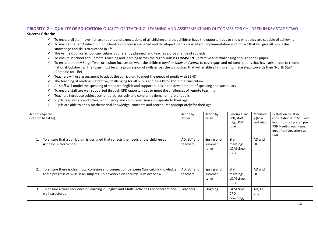### **PRIORITY 2 : QUALITY OF EDUCATION:** QUALITY OF TEACHING, LEARNING AND ASSESSMENT AND OUTCOMES FOR CHILDREN IN KEY STAGE TWO **Success Criteria:**

- $\checkmark$  To ensure all staff have high aspirations and expectations of all children and that children have the opportunities to show what they are capable of achieving
- $\checkmark$  To ensure that an Ashfield Junior School curriculum is designed and developed with a clear intent, implementation and impact that will give all pupils the knowledge and skills to succeed in life
- $\checkmark$  The Ashfield Junior School curriculum is coherently planned, and teaches a broad range of subjects
- To ensure in school and Remote Teaching and learning across the curriculum is **CONSISTENT**, effective and challenging enough for all pupils
- To ensure the Key Stage Two curriculum focuses on what the children *need to know and learn*, to cover gaps and misconceptions that have arisen due to recent national lockdowns. The focus must be on a progression of skills across the curriculum that will enable all children to make steps towards their 'North Star' (Compass for Life)
- $\checkmark$  Teachers will use assessment to adapt the curriculum to meet the needs of pupils with SEND
- $\checkmark$  The teaching of reading is effective, challenging for all pupils and runs throughout the curriculum
- $\checkmark$  All staff will model the speaking of standard English and support pupils in the development of speaking and vocabulary
- $\checkmark$  To ensure staff are well supported through CPD opportunities to meet the challenges of remote teaching
- $\checkmark$  Teachers introduce subject content progressively and constantly demand more of pupils.
- $\checkmark$  Pupils read widely and often, with fluency and comprehension appropriate to their age.
- $\checkmark$  Pupils are able to apply mathematical knowledge, concepts and procedures appropriately for their age.

|    | Actions required<br>(steps to be taken)                                                                                                                                  | Action by<br>whom       | Action by<br>when            | Resources inc<br>CPD, staff<br>mtg, L&M<br>time | Monitorin<br>g (how<br>and who) | Evaluation by HT in<br>consultation with SLT; with<br>input from other staff pre<br>FGB Meeting each term.<br>Input from Governors at<br>FGB |
|----|--------------------------------------------------------------------------------------------------------------------------------------------------------------------------|-------------------------|------------------------------|-------------------------------------------------|---------------------------------|----------------------------------------------------------------------------------------------------------------------------------------------|
|    | To ensure that a curriculum is designed that reflects the needs of the children at<br>Ashfield Junior School                                                             | AD, SLT and<br>teachers | Spring and<br>summer<br>term | <b>Staff</b><br>meetings,<br>L&M time,<br>CPD,  | AD and<br><b>HF</b>             |                                                                                                                                              |
| 2. | To ensure there is clear flow, cohesion and connection between Curriculum knowledge<br>and a progress of skills in all subjects. To develop a clear curriculum overview. | AD, SLT and<br>teachers | Spring and<br>summer<br>term | Staff<br>meetings,<br>L&M time,<br>CPD,         | AD and<br><b>HF</b>             |                                                                                                                                              |
| 3. | To ensure a clear sequence of learning in English and Maths activities are coherent and<br>well-structured.                                                              | Teachers                | Ongoing                      | L&M time,<br>CPD,<br>coaching,                  | AD, HF<br>and                   |                                                                                                                                              |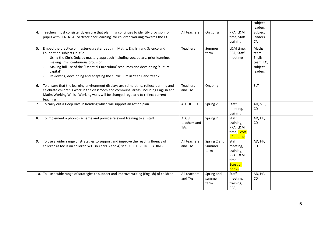|    |                                                                                                                                                                                                                                                                                                                                                                                                               |                                 |                                |                                                                                 | subject<br>leaders                                           |  |
|----|---------------------------------------------------------------------------------------------------------------------------------------------------------------------------------------------------------------------------------------------------------------------------------------------------------------------------------------------------------------------------------------------------------------|---------------------------------|--------------------------------|---------------------------------------------------------------------------------|--------------------------------------------------------------|--|
| 4. | Teachers must consistently ensure that planning continues to identify provision for<br>pupils with SEND/EAL or 'track back learning' for children working towards the EXS                                                                                                                                                                                                                                     | All teachers                    | On going                       | PPA, L&M<br>time, Staff<br>training,                                            | Subject<br>leaders,<br>CA                                    |  |
| 5. | Embed the practice of mastery/greater depth in Maths, English and Science and<br>Foundation subjects in KS2<br>Using the Chris Quigley mastery approach including vocabulary, prior learning,<br>making links, continuous provision<br>Making full use of the 'Essential Curriculum' resources and developing 'cultural<br>capital'<br>Reviewing, developing and adapting the curriculum in Year 1 and Year 2 | Teachers                        | Summer<br>term                 | L&M time,<br>PPA, Staff<br>meetings                                             | Maths<br>team,<br>English<br>team, LC,<br>subject<br>leaders |  |
| 6. | To ensure that the learning environment displays are stimulating, reflect learning and<br>celebrate children's work in the classroom and communal areas, including English and<br>Maths Working Walls. Working walls will be changed regularly to reflect current<br>teaching                                                                                                                                 | <b>Teachers</b><br>and TAs      | Ongoing                        |                                                                                 | <b>SLT</b>                                                   |  |
|    | 7. To carry out a Deep Dive in Reading which will support an action plan                                                                                                                                                                                                                                                                                                                                      | AD, HF, CD                      | Spring 2                       | Staff<br>meeting,<br>training,                                                  | AD, SLT,<br><b>CD</b>                                        |  |
| 8. | To implement a phonics scheme and provide relevant training to all staff                                                                                                                                                                                                                                                                                                                                      | AD, SLT,<br>teachers and<br>TAs | Spring 2                       | Staff<br>training,<br>PPA, L&M<br>time, <b>Ecost</b><br>of phonics              | AD, HF,<br><b>CD</b>                                         |  |
| 9. | To use a wider range of strategies to support and improve the reading fluency of<br>children (a focus on children WTS in Years 3 and 4) see DEEP DIVE IN READING                                                                                                                                                                                                                                              | All teachers<br>and TAs         | Spring 2 and<br>Summer<br>term | Staff<br>meeting,<br>training,<br>PPA, L&M<br>time.<br><b>Ecost of</b><br>books | AD, HF,<br><b>CD</b>                                         |  |
|    | 10. To use a wide range of strategies to support and improve writing (English) of children                                                                                                                                                                                                                                                                                                                    | All teachers<br>and TAs         | Spring and<br>summer<br>term   | Staff<br>meeting,<br>training,<br>PPA,                                          | AD, HF,<br><b>CD</b>                                         |  |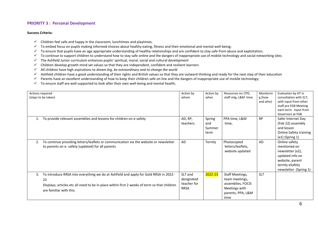## **PRIORITY 3 : Personal Development**

#### **Success Criteria:**

- $\checkmark$  Children feel safe and happy in the classroom, lunchtimes and playtimes.
- $\checkmark$  To embed focus on pupils making informed choices about healthy eating, fitness and their emotional and mental well-being;
- $\checkmark$  To ensure that pupils have an age appropriate understanding of healthy relationships and are confident to stay safe from abuse and exploitation;
- $\checkmark$  To continue to support children to understand how to stay safe online and the dangers of inappropriate use of mobile technology and social networking sites.
- $\checkmark$  The Ashfield Junior curriculum enhances pupils' spiritual, moral, social and cultural development
- $\checkmark$  Children develop growth mind set values so that they are independent, confident and resilient learners
- All children have high aspirations to *dream big, be extraordinary and to change the world*
- $\checkmark$  Ashfield children have a good understanding of their rights and British values so that they are outward thinking and ready for the next step of their education
- $\checkmark$  Parents have an excellent understanding of how to keep their children safe on line and the dangers of inappropriate use of mobile technology;
- $\checkmark$  To ensure staff are well supported to look after their own well-being and mental health;

|    | Actions required<br>(steps to be taken)                                                                                                                                                                               | Action by<br>whom                                   | Action by<br>when               | Resources inc CPD,<br>staff mtg, L&M time                                                            | Monitorin<br>g (how<br>and who) | Evaluation by HT in<br>consultation with SLT;<br>with input from other<br>staff pre FGB Meeting<br>each term. Input from<br>Governors at FGB |
|----|-----------------------------------------------------------------------------------------------------------------------------------------------------------------------------------------------------------------------|-----------------------------------------------------|---------------------------------|------------------------------------------------------------------------------------------------------|---------------------------------|----------------------------------------------------------------------------------------------------------------------------------------------|
|    | To provide relevant assemblies and lessons for children on e-safety                                                                                                                                                   | AD, RP,<br>teachers.                                | Spring<br>and<br>Summer<br>term | PPA time, L&M<br>time,                                                                               | <b>RP</b>                       | Safer Internet Day<br>(Feb 22) assembly<br>and lesson<br>Online Safety training<br>$(x1)$ (Spring 1)                                         |
| 2. | To continue providing letters/leaflets or communication via the website or newsletter<br>to parents on e- safety (updated) for all parents                                                                            | <b>AD</b>                                           | Termly                          | Photocopied<br>letters/leaflets,<br>website updated                                                  | <b>AD</b>                       | Online safety<br>mentioned on<br>newsletter (x2),<br>updated info on<br>website, parent<br>termly eSafety<br>newsletter (Spring 1)           |
| 3. | To introduce RRSA into everything we do at Ashfield and apply for Gold RRSA in 2022-<br>23<br>Displays; articles etc all need to be in place within first 2 weeks of term so that children<br>are familiar with this. | SLT and<br>designated<br>teacher for<br><b>RRSA</b> | 2022-23                         | Staff Meetings,<br>team meetings,<br>assemblies, FOCIS<br>Meetings with<br>parents, PPA, L&M<br>time | <b>SLT</b>                      |                                                                                                                                              |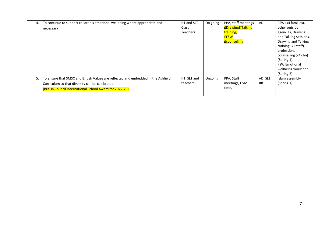| 4. | To continue to support children's emotional wellbeing where appropriate and             | HT and SLT      | On going | PPA, staff meetings         | AD        | FSW (x4 families),    |
|----|-----------------------------------------------------------------------------------------|-----------------|----------|-----------------------------|-----------|-----------------------|
|    | necessary                                                                               | <b>Class</b>    |          | <b>£Drawing&amp;Talking</b> |           | other outside         |
|    |                                                                                         | <b>Teachers</b> |          | training,                   |           | agencies, Drawing     |
|    |                                                                                         |                 |          | <b>EFSW</b>                 |           | and Talking Sessions, |
|    |                                                                                         |                 |          | <b>Ecounselling</b>         |           | Drawing and Talking   |
|    |                                                                                         |                 |          |                             |           | training (x1 staff),  |
|    |                                                                                         |                 |          |                             |           | professional          |
|    |                                                                                         |                 |          |                             |           | counselling (x4 chn)  |
|    |                                                                                         |                 |          |                             |           | (Spring 1).           |
|    |                                                                                         |                 |          |                             |           | <b>FSW Emotional</b>  |
|    |                                                                                         |                 |          |                             |           | wellbeing workshop    |
|    |                                                                                         |                 |          |                             |           | (Spring 2)            |
|    | To ensure that SMSC and British Values are reflected and embedded in the Ashfield<br>5. | HT, SLT and     | Ongoing  | PPA, Staff                  | AD, SLT,  | Islam assembly        |
|    | Curriculum so that diversity can be celebrated                                          | teachers        |          | meetings, L&M               | <b>RB</b> | (Spring 1)            |
|    | (British Council International School Award for 2022-23)                                |                 |          | time,                       |           |                       |
|    |                                                                                         |                 |          |                             |           |                       |
|    |                                                                                         |                 |          |                             |           |                       |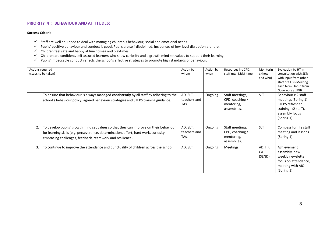## **PRIORITY 4 : BEHAVIOUR AND ATTITUDES;**

#### **Success Criteria:**

- $\checkmark$  Staff are well equipped to deal with managing children's behaviour, social and emotional needs
- $\checkmark$  Pupils' positive behaviour and conduct is good. Pupils are self-disciplined. Incidences of low-level disruption are rare.
- $\checkmark$  Children feel safe and happy at lunchtimes and playtimes.
- $\checkmark$  Children are confident, self-assured learners who show curiosity and a growth mind set values to support their learning
- $\checkmark$  Pupils' impeccable conduct reflects the school's effective strategies to promote high standards of behaviour.

|    | Actions required<br>(steps to be taken)                                                                                                                                                                                                   | Action by<br>whom                | Action by<br>when | Resources inc CPD,<br>staff mtg, L&M time                       | Monitorin<br>g (how<br>and who) | Evaluation by HT in<br>consultation with SLT;<br>with input from other<br>staff pre FGB Meeting<br>each term. Input from<br>Governors at FGB |
|----|-------------------------------------------------------------------------------------------------------------------------------------------------------------------------------------------------------------------------------------------|----------------------------------|-------------------|-----------------------------------------------------------------|---------------------------------|----------------------------------------------------------------------------------------------------------------------------------------------|
| 1. | To ensure that behaviour is always managed consistently by all staff by adhering to the<br>school's behaviour policy, agreed behaviour strategies and STEPS training guidance.                                                            | AD, SLT,<br>teachers and<br>TAs, | Ongoing           | Staff meetings,<br>CPD, coaching /<br>mentoring,<br>assemblies, | <b>SLT</b>                      | Behaviour x 2 staff<br>meetings (Spring 1),<br>STEPS refresher<br>training (x2 staff),<br>assembly focus<br>(Spring 1)                       |
| 2. | To develop pupils' growth mind set values so that they can improve on their behaviour<br>for learning skills (e.g. perseverance, determination, effort, hard work, curiosity,<br>embracing challenges, feedback, teamwork and resilience) | AD, SLT,<br>teachers and<br>TAs, | Ongoing           | Staff meetings,<br>CPD, coaching /<br>mentoring,<br>assemblies, | <b>SLT</b>                      | Compass for life staff<br>meeting and lessons<br>(Spring 1)                                                                                  |
| 3. | To continue to improve the attendance and punctuality of children across the school                                                                                                                                                       | AD, SLT                          | Ongoing           | Meetings,                                                       | AD, HF,<br>CA<br>(SEND)         | Achievement<br>assembly, new<br>weekly newsletter<br>focus on attendance,<br>meeting with AIO<br>(Spring 1)                                  |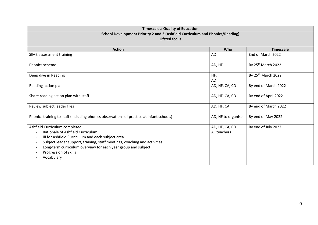| <b>Timescales: Quality of Education</b><br>School Development Priority 2 and 3 (Ashfield Curriculum and Phonics/Reading)<br><b>Ofsted focus</b>                                                                                                                                                                                                                     |                                |                                |  |  |  |  |
|---------------------------------------------------------------------------------------------------------------------------------------------------------------------------------------------------------------------------------------------------------------------------------------------------------------------------------------------------------------------|--------------------------------|--------------------------------|--|--|--|--|
| <b>Action</b><br>Who<br><b>Timescale</b>                                                                                                                                                                                                                                                                                                                            |                                |                                |  |  |  |  |
| SIMS assessment training                                                                                                                                                                                                                                                                                                                                            | <b>AD</b>                      | End of March 2022              |  |  |  |  |
| <b>Phonics scheme</b>                                                                                                                                                                                                                                                                                                                                               | AD, HF                         | By 25 <sup>th</sup> March 2022 |  |  |  |  |
| Deep dive in Reading                                                                                                                                                                                                                                                                                                                                                | HF,<br>AD                      | By 25 <sup>th</sup> March 2022 |  |  |  |  |
| Reading action plan                                                                                                                                                                                                                                                                                                                                                 | AD, HF, CA, CD                 | By end of March 2022           |  |  |  |  |
| Share reading action plan with staff                                                                                                                                                                                                                                                                                                                                | AD, HF, CA, CD                 | By end of April 2022           |  |  |  |  |
| Review subject leader files                                                                                                                                                                                                                                                                                                                                         | AD, HF, CA                     | By end of March 2022           |  |  |  |  |
| Phonics training to staff (including phonics observations of practice at infant schools)                                                                                                                                                                                                                                                                            | AD, HF to organise             | By end of May 2022             |  |  |  |  |
| Ashfield Curriculum completed<br>Rationale of Ashfield Curriculum<br>III for Ashfield Curriculum and each subject area<br>$\overline{\phantom{a}}$<br>Subject leader support, training, staff meetings, coaching and activities<br>$\overline{\phantom{0}}$<br>Long-term curriculum overview for each year group and subject<br>Progression of skills<br>Vocabulary | AD, HF, CA, CD<br>All teachers | By end of July 2022            |  |  |  |  |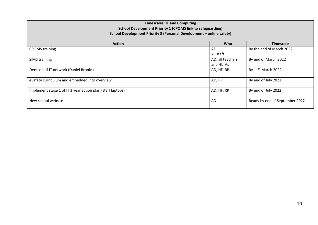| <b>Timescales: IT and Computing</b>                                  |                  |                                |  |  |  |
|----------------------------------------------------------------------|------------------|--------------------------------|--|--|--|
| School Development Priority 1 (CPOMS link to safeguarding)           |                  |                                |  |  |  |
| School Development Priority 3 (Personal Development - online safety) |                  |                                |  |  |  |
| <b>Action</b>                                                        | <b>Who</b>       | <b>Timescale</b>               |  |  |  |
| <b>CPOMS</b> training                                                | AD               | By the end of March 2022       |  |  |  |
|                                                                      | All staff        |                                |  |  |  |
| <b>SIMS training</b>                                                 | AD, all teachers | By end of March 2022           |  |  |  |
|                                                                      | and HLTAs        |                                |  |  |  |
| Decision of IT network (Daniel Brooks)                               | AD, HF, RP       | By 11 <sup>th</sup> March 2022 |  |  |  |
|                                                                      |                  |                                |  |  |  |
| eSafety curriculum and embedded into overview                        | AD, RP           | By end of July 2022            |  |  |  |
|                                                                      |                  |                                |  |  |  |
| Implement stage 1 of IT 3 year action plan (staff laptops)           | AD, HF, RP       | By end of July 2022            |  |  |  |
|                                                                      |                  |                                |  |  |  |
| New school website                                                   | AD               | Ready by end of September 2022 |  |  |  |
|                                                                      |                  |                                |  |  |  |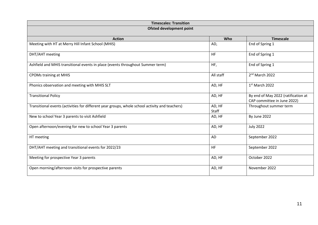| <b>Timescales: Transition</b>                                                                  |                 |                                                                    |  |  |
|------------------------------------------------------------------------------------------------|-----------------|--------------------------------------------------------------------|--|--|
| Ofsted development point                                                                       |                 |                                                                    |  |  |
| <b>Action</b>                                                                                  | Who             | <b>Timescale</b>                                                   |  |  |
| Meeting with HT at Merry Hill Infant School (MHIS)                                             | AD,             | End of Spring 1                                                    |  |  |
| DHT/AHT meeting                                                                                | <b>HF</b>       | End of Spring 1                                                    |  |  |
| Ashfield and MHIS transitional events in place (events throughout Summer term)                 | HF,             | End of Spring 1                                                    |  |  |
| <b>CPOMs training at MHIS</b>                                                                  | All staff       | 2 <sup>nd</sup> March 2022                                         |  |  |
| Phonics observation and meeting with MHIS SLT                                                  | AD, HF          | 1st March 2022                                                     |  |  |
| <b>Transitional Policy</b>                                                                     | AD, HF          | By end of May 2022 (ratification at<br>CAP committee in June 2022) |  |  |
| Transitional events (activities for different year groups, whole school activity and teachers) | AD, HF<br>Staff | Throughout summer term                                             |  |  |
| New to school Year 3 parents to visit Ashfield                                                 | AD, HF          | By June 2022                                                       |  |  |
| Open afternoon/evening for new to school Year 3 parents                                        | AD, HF          | <b>July 2022</b>                                                   |  |  |
| HT meeting                                                                                     | <b>AD</b>       | September 2022                                                     |  |  |
| DHT/AHT meeting and transitional events for 2022/23                                            | <b>HF</b>       | September 2022                                                     |  |  |
| Meeting for prospective Year 3 parents                                                         | AD, HF          | October 2022                                                       |  |  |
| Open morning/afternoon visits for prospective parents                                          | AD, HF          | November 2022                                                      |  |  |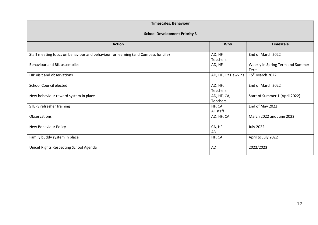| <b>Timescales: Behaviour</b>                                                       |                         |                                          |  |  |  |
|------------------------------------------------------------------------------------|-------------------------|------------------------------------------|--|--|--|
| <b>School Development Priority 3</b>                                               |                         |                                          |  |  |  |
| <b>Action</b>                                                                      | Who                     | <b>Timescale</b>                         |  |  |  |
| Staff meeting focus on behaviour and behaviour for learning (and Compass for Life) | AD, HF<br>Teachers      | End of March 2022                        |  |  |  |
| Behaviour and BfL assemblies                                                       | AD, HF                  | Weekly in Spring Term and Summer<br>Term |  |  |  |
| HIP visit and observations                                                         | AD, HF, Liz Hawkins     | 15 <sup>th</sup> March 2022              |  |  |  |
| <b>School Council elected</b>                                                      | AD, HF,<br>Teachers     | End of March 2022                        |  |  |  |
| New behaviour reward system in place                                               | AD, HF, CA,<br>Teachers | Start of Summer 1 (April 2022)           |  |  |  |
| <b>STEPS refresher training</b>                                                    | HF, CA<br>All staff     | End of May 2022                          |  |  |  |
| Observations                                                                       | AD, HF, CA,             | March 2022 and June 2022                 |  |  |  |
| New Behaviour Policy                                                               | CA, HF<br>AD            | <b>July 2022</b>                         |  |  |  |
| Family buddy system in place                                                       | HF, CA                  | April to July 2022                       |  |  |  |
| Unicef Rights Respecting School Agenda                                             | <b>AD</b>               | 2022/2023                                |  |  |  |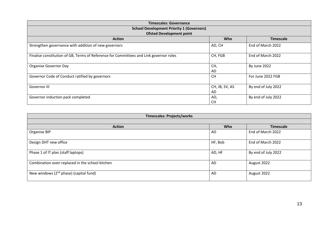| <b>Timescales: Governance</b>                                                          |                      |                     |  |  |  |  |  |
|----------------------------------------------------------------------------------------|----------------------|---------------------|--|--|--|--|--|
| <b>School Development Priority 1 (Governors)</b>                                       |                      |                     |  |  |  |  |  |
| <b>Ofsted Development point</b>                                                        |                      |                     |  |  |  |  |  |
| <b>Action</b>                                                                          | Who                  | <b>Timescale</b>    |  |  |  |  |  |
| Strengthen governance with addition of new governors                                   | AD, CH               | End of March 2022   |  |  |  |  |  |
| Finalise constitution of GB, Terms of Reference for Committees and Link governor roles | CH, FGB              | End of March 2022   |  |  |  |  |  |
| Organise Governor Day                                                                  | CH,<br>AD            | By June 2022        |  |  |  |  |  |
| Governor Code of Conduct ratified by governors                                         | CH.                  | For June 2022 FGB   |  |  |  |  |  |
| Governor III                                                                           | CH, JB, SV, AS<br>AD | By end of July 2022 |  |  |  |  |  |
| Governor induction pack completed                                                      | AD,<br><b>CH</b>     | By end of July 2022 |  |  |  |  |  |

| <b>Timescales: Projects/works</b>               |            |                     |  |  |
|-------------------------------------------------|------------|---------------------|--|--|
|                                                 |            |                     |  |  |
| <b>Action</b>                                   | <b>Who</b> | <b>Timescale</b>    |  |  |
| Organise BIP                                    | AD         | End of March 2022   |  |  |
| Design DHT new office                           | HF, Bob    | End of March 2022   |  |  |
| Phase 1 of IT plan (staff laptops)              | AD, HF     | By end of July 2022 |  |  |
| Combination oven replaced in the school kitchen | AD         | August 2022         |  |  |
| New windows $(2^{nd}$ phase) (capital fund)     | AD         | August 2022         |  |  |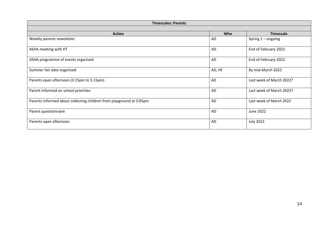| <b>Timescales: Parents</b>                                           |            |                          |  |  |
|----------------------------------------------------------------------|------------|--------------------------|--|--|
|                                                                      |            |                          |  |  |
| <b>Action</b>                                                        | <b>Who</b> | <b>Timescale</b>         |  |  |
| Weekly parents newsletter                                            | AD         | Spring $1$ – ongoing     |  |  |
| ASHA meeting with HT                                                 | AD         | End of February 2022     |  |  |
| ASHA programme of events organised                                   | AD         | End of February 2022     |  |  |
| Summer fair date organised                                           | AD, HF     | By mid-March 2022        |  |  |
| Parents open afternoon (3:15pm to 5:15pm)                            | AD         | Last week of March 2022? |  |  |
| Parent informed on school priorities                                 | AD         | Last week of March 2022? |  |  |
| Parents informed about collecting children from playground at 3:05pm | AD         | Last week of March 2022  |  |  |
| Parent questionnaire                                                 | AD         | June 2022                |  |  |
| Parents open afternoon                                               | AD         | <b>July 2022</b>         |  |  |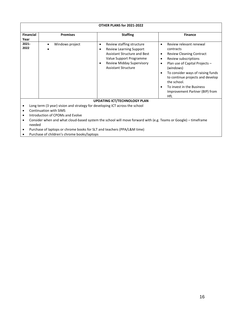| OTHER PLANS for 2021-2022 |                 |                                                                                                                                                                                                                |                                                                                                                                                                                                                                                                                                                                                                            |  |  |
|---------------------------|-----------------|----------------------------------------------------------------------------------------------------------------------------------------------------------------------------------------------------------------|----------------------------------------------------------------------------------------------------------------------------------------------------------------------------------------------------------------------------------------------------------------------------------------------------------------------------------------------------------------------------|--|--|
| <b>Financial</b><br>Year  | <b>Premises</b> | <b>Staffing</b>                                                                                                                                                                                                | <b>Finance</b>                                                                                                                                                                                                                                                                                                                                                             |  |  |
| $2021 -$<br>2022          | Windows project | Review staffing structure<br>٠<br><b>Review Learning Support</b><br>٠<br><b>Assistant Structure and Best</b><br>Value Support Programme<br><b>Review Midday Supervisory</b><br>٠<br><b>Assistant Structure</b> | Review relevant renewal<br>$\bullet$<br>contracts<br><b>Review Cleaning Contract</b><br>$\bullet$<br>Review subscriptions<br>$\bullet$<br>Plan use of Capital Projects -<br>٠<br>(windows)<br>To consider ways of raising funds<br>٠<br>to continue projects and develop<br>the school.<br>To invest in the Business<br>$\bullet$<br>Improvement Partner (BIP) from<br>HfL |  |  |
|                           |                 | <b>UPDATING ICT/TECHNOLOGY PLAN</b>                                                                                                                                                                            |                                                                                                                                                                                                                                                                                                                                                                            |  |  |

- Long term (3 year) vision and strategy for developing ICT across the school
- Continuation with SIMS
- Introduction of CPOMs and Evolve
- Consider when and what cloud-based system the school will move forward with (e.g. Teams or Google) timeframe needed
- Purchase of laptops or chrome books for SLT and teachers (PPA/L&M time)
- Purchase of children's chrome books/laptops